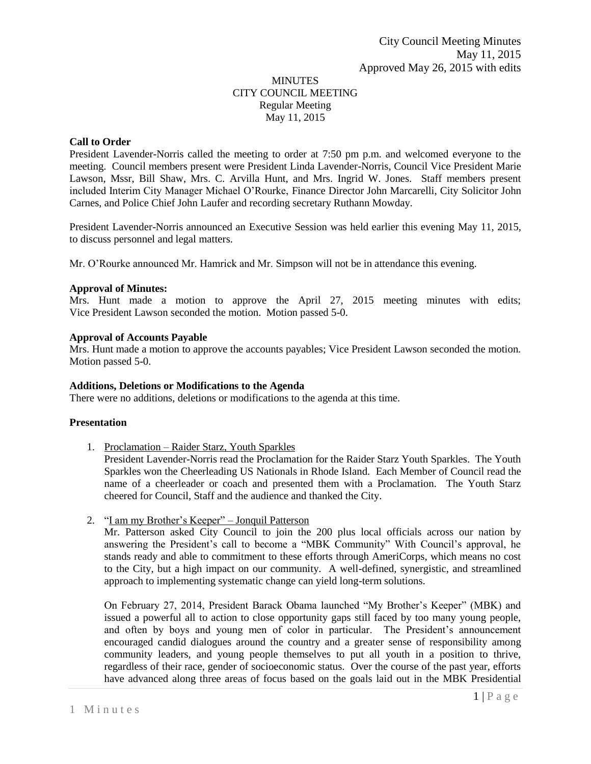# MINUTES CITY COUNCIL MEETING Regular Meeting May 11, 2015

# **Call to Order**

President Lavender-Norris called the meeting to order at 7:50 pm p.m. and welcomed everyone to the meeting. Council members present were President Linda Lavender-Norris, Council Vice President Marie Lawson, Mssr, Bill Shaw, Mrs. C. Arvilla Hunt, and Mrs. Ingrid W. Jones. Staff members present included Interim City Manager Michael O'Rourke, Finance Director John Marcarelli, City Solicitor John Carnes, and Police Chief John Laufer and recording secretary Ruthann Mowday.

President Lavender-Norris announced an Executive Session was held earlier this evening May 11, 2015, to discuss personnel and legal matters.

Mr. O'Rourke announced Mr. Hamrick and Mr. Simpson will not be in attendance this evening.

#### **Approval of Minutes:**

Mrs. Hunt made a motion to approve the April 27, 2015 meeting minutes with edits; Vice President Lawson seconded the motion. Motion passed 5-0.

#### **Approval of Accounts Payable**

Mrs. Hunt made a motion to approve the accounts payables; Vice President Lawson seconded the motion. Motion passed 5-0.

#### **Additions, Deletions or Modifications to the Agenda**

There were no additions, deletions or modifications to the agenda at this time.

# **Presentation**

1. Proclamation – Raider Starz, Youth Sparkles

President Lavender-Norris read the Proclamation for the Raider Starz Youth Sparkles. The Youth Sparkles won the Cheerleading US Nationals in Rhode Island. Each Member of Council read the name of a cheerleader or coach and presented them with a Proclamation. The Youth Starz cheered for Council, Staff and the audience and thanked the City.

2. "I am my Brother's Keeper" – Jonquil Patterson

Mr. Patterson asked City Council to join the 200 plus local officials across our nation by answering the President's call to become a "MBK Community" With Council's approval, he stands ready and able to commitment to these efforts through AmeriCorps, which means no cost to the City, but a high impact on our community. A well-defined, synergistic, and streamlined approach to implementing systematic change can yield long-term solutions.

On February 27, 2014, President Barack Obama launched "My Brother's Keeper" (MBK) and issued a powerful all to action to close opportunity gaps still faced by too many young people, and often by boys and young men of color in particular. The President's announcement encouraged candid dialogues around the country and a greater sense of responsibility among community leaders, and young people themselves to put all youth in a position to thrive, regardless of their race, gender of socioeconomic status. Over the course of the past year, efforts have advanced along three areas of focus based on the goals laid out in the MBK Presidential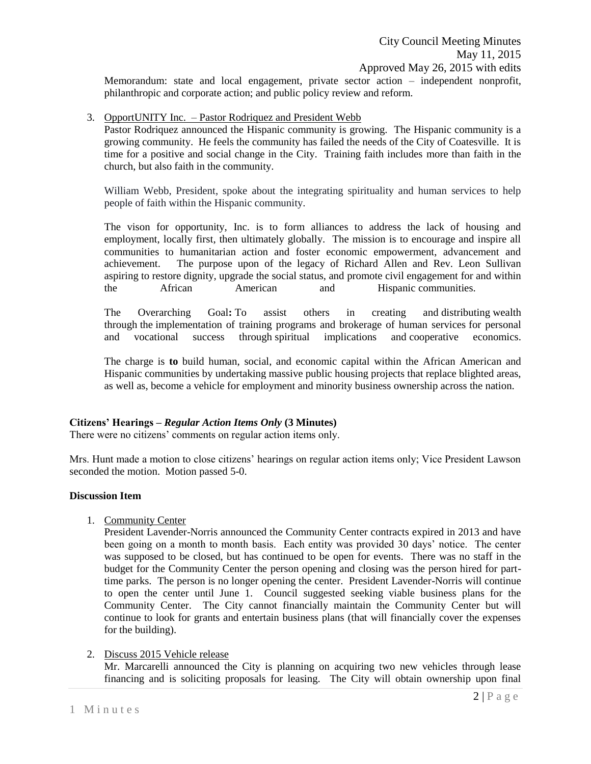Memorandum: state and local engagement, private sector action – independent nonprofit, philanthropic and corporate action; and public policy review and reform.

# 3. OpportUNITY Inc. – Pastor Rodriquez and President Webb

Pastor Rodriquez announced the Hispanic community is growing. The Hispanic community is a growing community. He feels the community has failed the needs of the City of Coatesville. It is time for a positive and social change in the City. Training faith includes more than faith in the church, but also faith in the community.

William Webb, President, spoke about the integrating spirituality and human services to help people of faith within the Hispanic community.

The vison for opportunity, Inc. is to form alliances to address the lack of housing and employment, locally first, then ultimately globally. The mission is to encourage and inspire all communities to humanitarian action and foster economic empowerment, advancement and achievement. The purpose upon of the legacy of Richard Allen and Rev. Leon Sullivan aspiring to restore dignity, upgrade the social status, and promote civil engagement for and within the African American and Hispanic communities.

The Overarching Goal**:** To assist others in creating and distributing wealth through the implementation of training programs and brokerage of human services for personal and vocational success through spiritual implications and cooperative economics.

The charge is **to** build human, social, and economic capital within the African American and Hispanic communities by undertaking massive public housing projects that replace blighted areas, as well as, become a vehicle for employment and minority business ownership across the nation.

# **Citizens' Hearings –** *Regular Action Items Only* **(3 Minutes)**

There were no citizens' comments on regular action items only.

Mrs. Hunt made a motion to close citizens' hearings on regular action items only; Vice President Lawson seconded the motion. Motion passed 5-0.

# **Discussion Item**

1. Community Center

President Lavender-Norris announced the Community Center contracts expired in 2013 and have been going on a month to month basis. Each entity was provided 30 days' notice. The center was supposed to be closed, but has continued to be open for events. There was no staff in the budget for the Community Center the person opening and closing was the person hired for parttime parks. The person is no longer opening the center. President Lavender-Norris will continue to open the center until June 1. Council suggested seeking viable business plans for the Community Center. The City cannot financially maintain the Community Center but will continue to look for grants and entertain business plans (that will financially cover the expenses for the building).

# 2. Discuss 2015 Vehicle release

Mr. Marcarelli announced the City is planning on acquiring two new vehicles through lease financing and is soliciting proposals for leasing. The City will obtain ownership upon final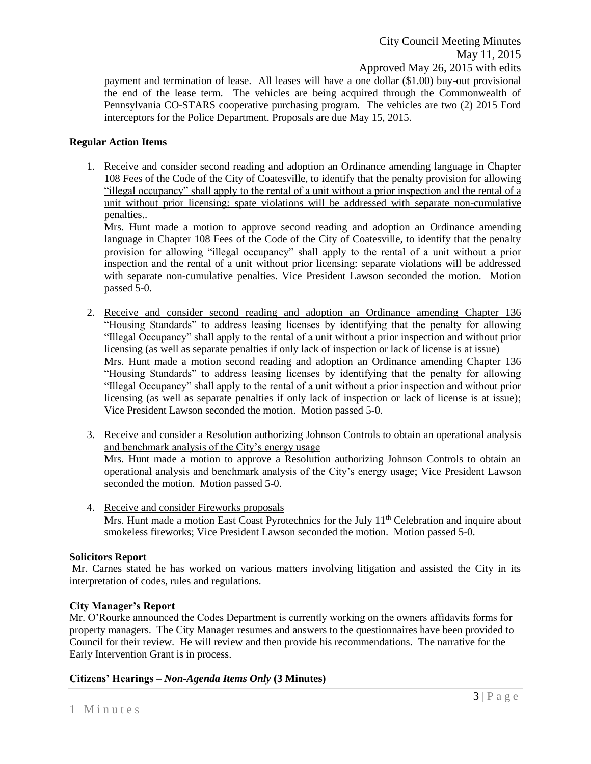payment and termination of lease. All leases will have a one dollar (\$1.00) buy-out provisional the end of the lease term. The vehicles are being acquired through the Commonwealth of Pennsylvania CO-STARS cooperative purchasing program. The vehicles are two (2) 2015 Ford interceptors for the Police Department. Proposals are due May 15, 2015.

# **Regular Action Items**

1. Receive and consider second reading and adoption an Ordinance amending language in Chapter 108 Fees of the Code of the City of Coatesville, to identify that the penalty provision for allowing "illegal occupancy" shall apply to the rental of a unit without a prior inspection and the rental of a unit without prior licensing: spate violations will be addressed with separate non-cumulative penalties..

Mrs. Hunt made a motion to approve second reading and adoption an Ordinance amending language in Chapter 108 Fees of the Code of the City of Coatesville, to identify that the penalty provision for allowing "illegal occupancy" shall apply to the rental of a unit without a prior inspection and the rental of a unit without prior licensing: separate violations will be addressed with separate non-cumulative penalties. Vice President Lawson seconded the motion. Motion passed 5-0.

- 2. Receive and consider second reading and adoption an Ordinance amending Chapter 136 "Housing Standards" to address leasing licenses by identifying that the penalty for allowing "Illegal Occupancy" shall apply to the rental of a unit without a prior inspection and without prior licensing (as well as separate penalties if only lack of inspection or lack of license is at issue) Mrs. Hunt made a motion second reading and adoption an Ordinance amending Chapter 136 "Housing Standards" to address leasing licenses by identifying that the penalty for allowing "Illegal Occupancy" shall apply to the rental of a unit without a prior inspection and without prior licensing (as well as separate penalties if only lack of inspection or lack of license is at issue); Vice President Lawson seconded the motion. Motion passed 5-0.
- 3. Receive and consider a Resolution authorizing Johnson Controls to obtain an operational analysis and benchmark analysis of the City's energy usage Mrs. Hunt made a motion to approve a Resolution authorizing Johnson Controls to obtain an operational analysis and benchmark analysis of the City's energy usage; Vice President Lawson seconded the motion. Motion passed 5-0.
- 4. Receive and consider Fireworks proposals Mrs. Hunt made a motion East Coast Pyrotechnics for the July 11<sup>th</sup> Celebration and inquire about smokeless fireworks; Vice President Lawson seconded the motion. Motion passed 5-0.

# **Solicitors Report**

Mr. Carnes stated he has worked on various matters involving litigation and assisted the City in its interpretation of codes, rules and regulations.

# **City Manager's Report**

Mr. O'Rourke announced the Codes Department is currently working on the owners affidavits forms for property managers. The City Manager resumes and answers to the questionnaires have been provided to Council for their review. He will review and then provide his recommendations. The narrative for the Early Intervention Grant is in process.

# **Citizens' Hearings –** *Non-Agenda Items Only* **(3 Minutes)**